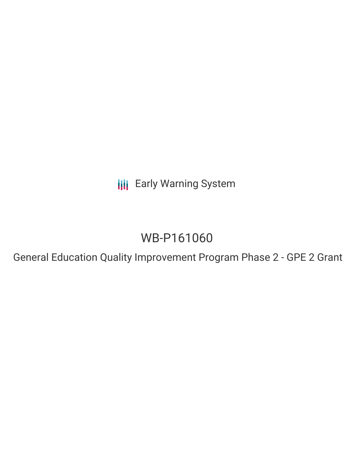**III** Early Warning System

# WB-P161060

General Education Quality Improvement Program Phase 2 - GPE 2 Grant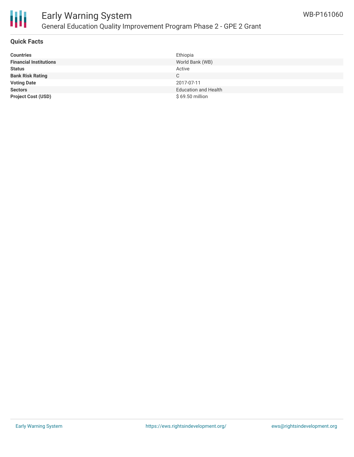

## Early Warning System General Education Quality Improvement Program Phase 2 - GPE 2 Grant

#### **Quick Facts**

| <b>Countries</b>              | Ethiopia                    |
|-------------------------------|-----------------------------|
| <b>Financial Institutions</b> | World Bank (WB)             |
| <b>Status</b>                 | Active                      |
| <b>Bank Risk Rating</b>       | C                           |
| <b>Voting Date</b>            | 2017-07-11                  |
| <b>Sectors</b>                | <b>Education and Health</b> |
| <b>Project Cost (USD)</b>     | $$69.50$ million            |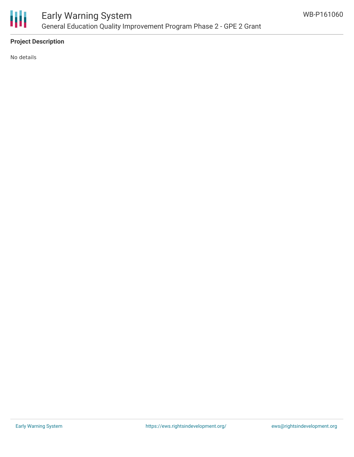

#### **Project Description**

No details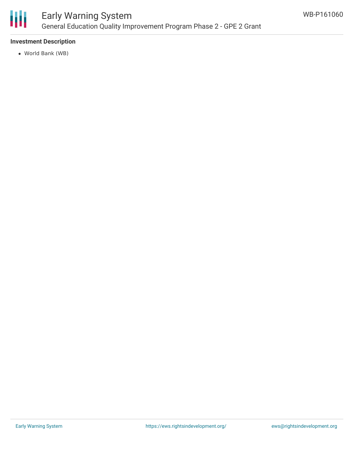

### Early Warning System General Education Quality Improvement Program Phase 2 - GPE 2 Grant

#### **Investment Description**

World Bank (WB)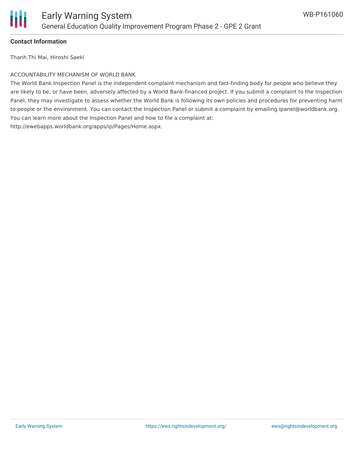# Ш

#### **Contact Information**

Thanh Thi Mai, Hiroshi Saeki

#### ACCOUNTABILITY MECHANISM OF WORLD BANK

The World Bank Inspection Panel is the independent complaint mechanism and fact-finding body for people who believe they are likely to be, or have been, adversely affected by a World Bank-financed project. If you submit a complaint to the Inspection Panel, they may investigate to assess whether the World Bank is following its own policies and procedures for preventing harm to people or the environment. You can contact the Inspection Panel or submit a complaint by emailing ipanel@worldbank.org. You can learn more about the Inspection Panel and how to file a complaint at: http://ewebapps.worldbank.org/apps/ip/Pages/Home.aspx.